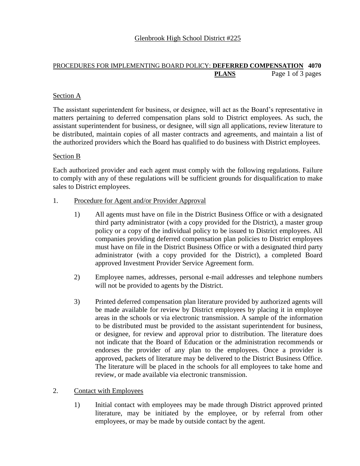## PROCEDURES FOR IMPLEMENTING BOARD POLICY: **DEFERRED COMPENSATION 4070 PLANS** Page 1 of 3 pages

# Section A

The assistant superintendent for business, or designee, will act as the Board's representative in matters pertaining to deferred compensation plans sold to District employees. As such, the assistant superintendent for business, or designee, will sign all applications, review literature to be distributed, maintain copies of all master contracts and agreements, and maintain a list of the authorized providers which the Board has qualified to do business with District employees.

### Section B

Each authorized provider and each agent must comply with the following regulations. Failure to comply with any of these regulations will be sufficient grounds for disqualification to make sales to District employees.

### 1. Procedure for Agent and/or Provider Approval

- 1) All agents must have on file in the District Business Office or with a designated third party administrator (with a copy provided for the District), a master group policy or a copy of the individual policy to be issued to District employees. All companies providing deferred compensation plan policies to District employees must have on file in the District Business Office or with a designated third party administrator (with a copy provided for the District), a completed Board approved Investment Provider Service Agreement form.
- 2) Employee names, addresses, personal e-mail addresses and telephone numbers will not be provided to agents by the District.
- 3) Printed deferred compensation plan literature provided by authorized agents will be made available for review by District employees by placing it in employee areas in the schools or via electronic transmission. A sample of the information to be distributed must be provided to the assistant superintendent for business, or designee, for review and approval prior to distribution. The literature does not indicate that the Board of Education or the administration recommends or endorses the provider of any plan to the employees. Once a provider is approved, packets of literature may be delivered to the District Business Office. The literature will be placed in the schools for all employees to take home and review, or made available via electronic transmission.

#### 2. Contact with Employees

1) Initial contact with employees may be made through District approved printed literature, may be initiated by the employee, or by referral from other employees, or may be made by outside contact by the agent.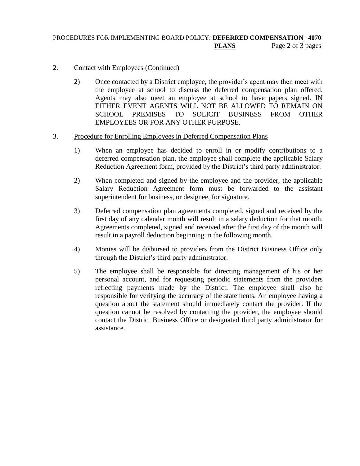## PROCEDURES FOR IMPLEMENTING BOARD POLICY: **DEFERRED COMPENSATION 4070 PLANS** Page 2 of 3 pages

### 2. Contact with Employees (Continued)

2) Once contacted by a District employee, the provider's agent may then meet with the employee at school to discuss the deferred compensation plan offered. Agents may also meet an employee at school to have papers signed. IN EITHER EVENT AGENTS WILL NOT BE ALLOWED TO REMAIN ON SCHOOL PREMISES TO SOLICIT BUSINESS FROM OTHER EMPLOYEES OR FOR ANY OTHER PURPOSE.

#### 3. Procedure for Enrolling Employees in Deferred Compensation Plans

- 1) When an employee has decided to enroll in or modify contributions to a deferred compensation plan, the employee shall complete the applicable Salary Reduction Agreement form, provided by the District's third party administrator.
- 2) When completed and signed by the employee and the provider, the applicable Salary Reduction Agreement form must be forwarded to the assistant superintendent for business, or designee, for signature.
- 3) Deferred compensation plan agreements completed, signed and received by the first day of any calendar month will result in a salary deduction for that month. Agreements completed, signed and received after the first day of the month will result in a payroll deduction beginning in the following month.
- 4) Monies will be disbursed to providers from the District Business Office only through the District's third party administrator.
- 5) The employee shall be responsible for directing management of his or her personal account, and for requesting periodic statements from the providers reflecting payments made by the District. The employee shall also be responsible for verifying the accuracy of the statements. An employee having a question about the statement should immediately contact the provider. If the question cannot be resolved by contacting the provider, the employee should contact the District Business Office or designated third party administrator for assistance.